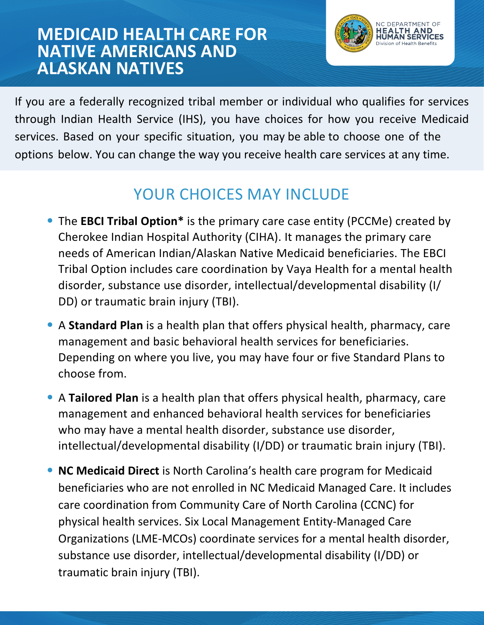## **MEDICAID HEALTH CARE FOR NATIVE AMERICANS AND ALASKAN NATIVES**



If you are a federally recognized tribal member or individual who qualifies for services through Indian Health Service (IHS), you have choices for how you receive Medicaid services. Based on your specific situation, you may be able to choose one of the options below. You can change the way you receive health care services at any time.

# YOUR CHOICES MAY INCLUDE

- The **EBCI Tribal Option\*** is the primary care case entity (PCCMe) created by Cherokee Indian Hospital Authority (CIHA). It manages the primary care needs of American Indian/Alaskan Native Medicaid beneficiaries. The EBCI Tribal Option includes care coordination by Vaya Health for a mental health disorder, substance use disorder, intellectual/developmental disability (I/ DD) or traumatic brain injury (TBI).
- A **Standard Plan** is a health plan that offers physical health, pharmacy, care management and basic behavioral health services for beneficiaries. Depending on where you live, you may have four or five Standard Plans to choose from.
- A **Tailored Plan** is a health plan that offers physical health, pharmacy, care management and enhanced behavioral health services for beneficiaries who may have a mental health disorder, substance use disorder, intellectual/developmental disability (I/DD) or traumatic brain injury (TBI).
- **NC Medicaid Direct** is North Carolina's health care program for Medicaid beneficiaries who are not enrolled in NC Medicaid Managed Care. It includes care coordination from Community Care of North Carolina (CCNC) for physical health services. Six Local Management Entity-Managed Care Organizations (LME-MCOs) coordinate services for a mental health disorder, substance use disorder, intellectual/developmental disability (I/DD) or traumatic brain injury (TBI).